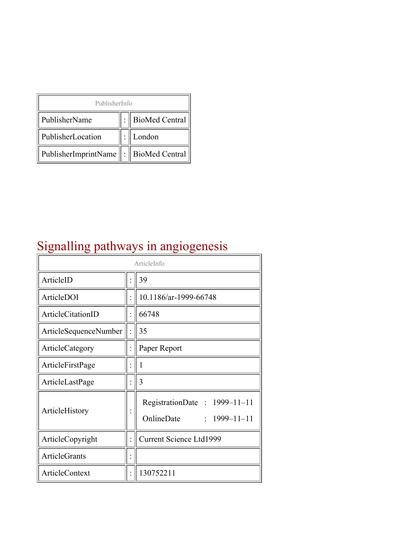| PublisherInfo                               |  |                    |  |  |
|---------------------------------------------|--|--------------------|--|--|
| PublisherName                               |  | :   BioMed Central |  |  |
| PublisherLocation                           |  | London             |  |  |
| PublisherImprintName    :    BioMed Central |  |                    |  |  |

# Signalling pathways in angiogenesis

| ArticleInfo           |  |                                                                  |
|-----------------------|--|------------------------------------------------------------------|
| ArticleID             |  | 39                                                               |
| ArticleDOI            |  | 10.1186/ar-1999-66748                                            |
| ArticleCitationID     |  | 66748                                                            |
| ArticleSequenceNumber |  | 35                                                               |
| ArticleCategory       |  | Paper Report                                                     |
| ArticleFirstPage      |  | 1                                                                |
| ArticleLastPage       |  | 3                                                                |
| ArticleHistory        |  | RegistrationDate: 1999-11-11<br>OnlineDate<br>$: 1999 - 11 - 11$ |
| ArticleCopyright      |  | Current Science Ltd1999                                          |
| <b>ArticleGrants</b>  |  |                                                                  |
| ArticleContext        |  | 130752211                                                        |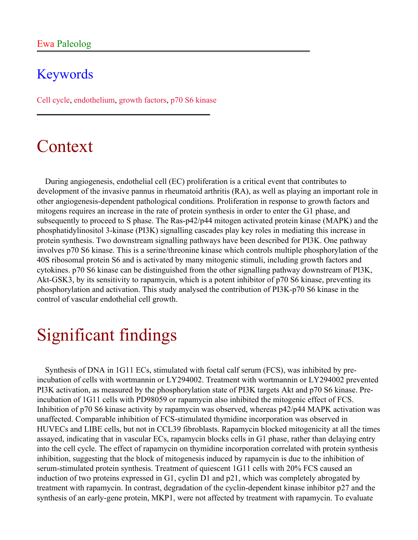### Keywords

Cell cycle, endothelium, growth factors, p70 S6 kinase

### Context

During angiogenesis, endothelial cell (EC) proliferation is a critical event that contributes to development of the invasive pannus in rheumatoid arthritis (RA), as well as playing an important role in other angiogenesis-dependent pathological conditions. Proliferation in response to growth factors and mitogens requires an increase in the rate of protein synthesis in order to enter the G1 phase, and subsequently to proceed to S phase. The Ras-p42/p44 mitogen activated protein kinase (MAPK) and the phosphatidylinositol 3-kinase (PI3K) signalling cascades play key roles in mediating this increase in protein synthesis. Two downstream signalling pathways have been described for PI3K. One pathway involves p70 S6 kinase. This is a serine/threonine kinase which controls multiple phosphorylation of the 40S ribosomal protein S6 and is activated by many mitogenic stimuli, including growth factors and cytokines. p70 S6 kinase can be distinguished from the other signalling pathway downstream of PI3K, Akt-GSK3, by its sensitivity to rapamycin, which is a potent inhibitor of p70 S6 kinase, preventing its phosphorylation and activation. This study analysed the contribution of PI3K-p70 S6 kinase in the control of vascular endothelial cell growth.

# Significant findings

Synthesis of DNA in 1G11 ECs, stimulated with foetal calf serum (FCS), was inhibited by preincubation of cells with wortmannin or LY294002. Treatment with wortmannin or LY294002 prevented PI3K activation, as measured by the phosphorylation state of PI3K targets Akt and p70 S6 kinase. Preincubation of 1G11 cells with PD98059 or rapamycin also inhibited the mitogenic effect of FCS. Inhibition of p70 S6 kinase activity by rapamycin was observed, whereas p42/p44 MAPK activation was unaffected. Comparable inhibition of FCS-stimulated thymidine incorporation was observed in HUVECs and LIBE cells, but not in CCL39 fibroblasts. Rapamycin blocked mitogenicity at all the times assayed, indicating that in vascular ECs, rapamycin blocks cells in G1 phase, rather than delaying entry into the cell cycle. The effect of rapamycin on thymidine incorporation correlated with protein synthesis inhibition, suggesting that the block of mitogenesis induced by rapamycin is due to the inhibition of serum-stimulated protein synthesis. Treatment of quiescent 1G11 cells with 20% FCS caused an induction of two proteins expressed in G1, cyclin D1 and p21, which was completely abrogated by treatment with rapamycin. In contrast, degradation of the cyclin-dependent kinase inhibitor p27 and the synthesis of an early-gene protein, MKP1, were not affected by treatment with rapamycin. To evaluate